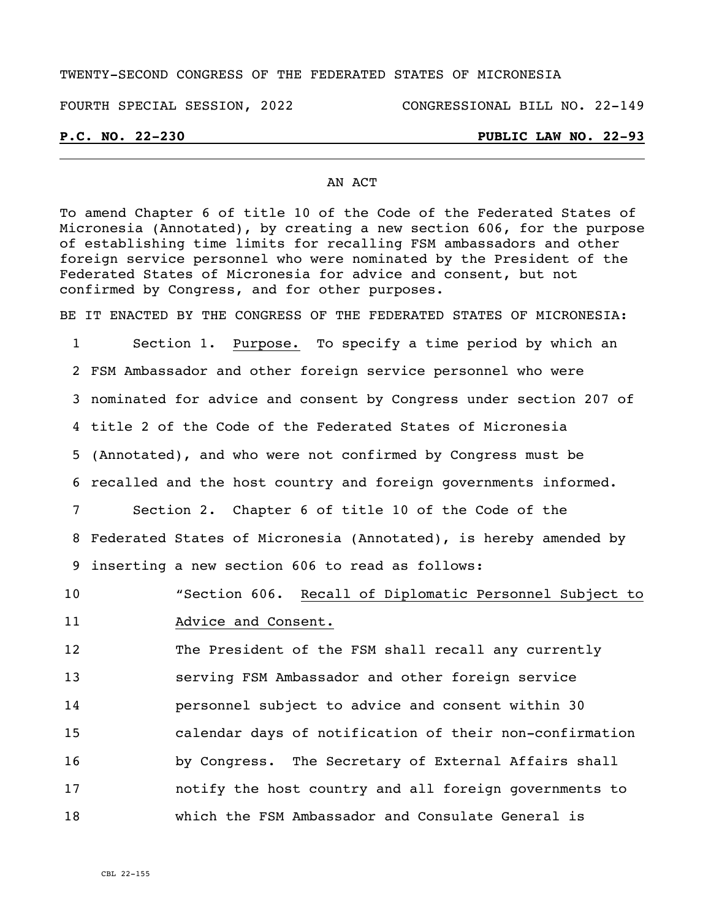### TWENTY-SECOND CONGRESS OF THE FEDERATED STATES OF MICRONESIA

# FOURTH SPECIAL SESSION, 2022 CONGRESSIONAL BILL NO. 22-149

# **P.C. NO. 22-230 PUBLIC LAW NO. 22-93**

## AN ACT

To amend Chapter 6 of title 10 of the Code of the Federated States of Micronesia (Annotated), by creating a new section 606, for the purpose of establishing time limits for recalling FSM ambassadors and other foreign service personnel who were nominated by the President of the Federated States of Micronesia for advice and consent, but not confirmed by Congress, and for other purposes.

BE IT ENACTED BY THE CONGRESS OF THE FEDERATED STATES OF MICRONESIA:

 Section 1. Purpose. To specify a time period by which an FSM Ambassador and other foreign service personnel who were nominated for advice and consent by Congress under section 207 of title 2 of the Code of the Federated States of Micronesia (Annotated), and who were not confirmed by Congress must be recalled and the host country and foreign governments informed. Section 2. Chapter 6 of title 10 of the Code of the Federated States of Micronesia (Annotated), is hereby amended by inserting a new section 606 to read as follows:

10 "Section 606. Recall of Diplomatic Personnel Subject to 11 Madvice and Consent.

 The President of the FSM shall recall any currently serving FSM Ambassador and other foreign service personnel subject to advice and consent within 30 calendar days of notification of their non-confirmation by Congress. The Secretary of External Affairs shall notify the host country and all foreign governments to which the FSM Ambassador and Consulate General is